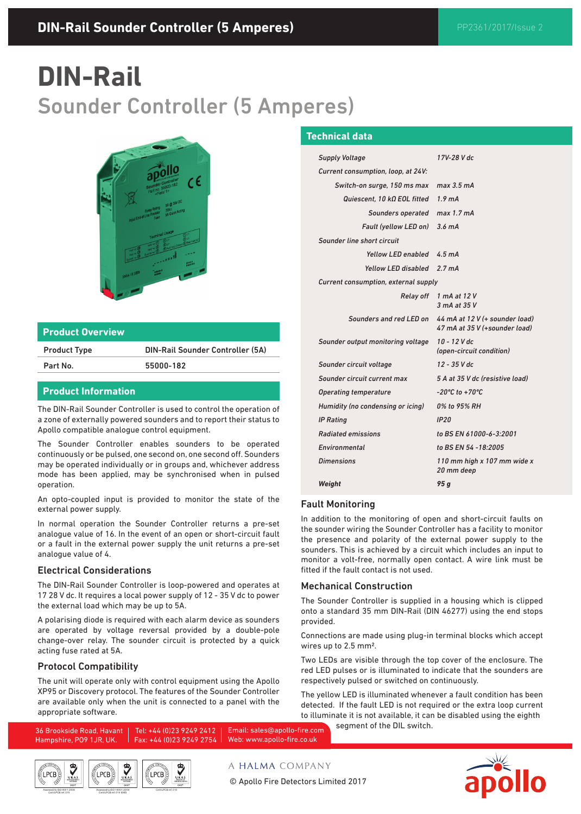# **DIN-Rail**  Sounder Controller (5 Amperes)



#### **Product Overview**

Product Type DIN-Rail Sounder Controller (5A)

Part No. 55000-182

## **Product Information**

The DIN-Rail Sounder Controller is used to control the operation of a zone of externally powered sounders and to report their status to Apollo compatible analogue control equipment.

The Sounder Controller enables sounders to be operated continuously or be pulsed, one second on, one second off. Sounders may be operated individually or in groups and, whichever address mode has been applied, may be synchronised when in pulsed operation.

An opto-coupled input is provided to monitor the state of the external power supply.

In normal operation the Sounder Controller returns a pre-set analogue value of 16. In the event of an open or short-circuit fault or a fault in the external power supply the unit returns a pre-set analogue value of 4.

#### Electrical Considerations

The DIN-Rail Sounder Controller is loop-powered and operates at 17 28 V dc. It requires a local power supply of 12 - 35 V dc to power the external load which may be up to 5A.

A polarising diode is required with each alarm device as sounders are operated by voltage reversal provided by a double-pole change-over relay. The sounder circuit is protected by a quick acting fuse rated at 5A.

## Protocol Compatibility

The unit will operate only with control equipment using the Apollo XP95 or Discovery protocol. The features of the Sounder Controller are available only when the unit is connected to a panel with the appropriate software.

### **Technical data**

| <b>Supply Voltage</b>                  | 17V-28 V dc                                                                             |
|----------------------------------------|-----------------------------------------------------------------------------------------|
| Current consumption, loop, at 24V:     |                                                                                         |
| Switch-on surge, 150 ms max max 3.5 mA |                                                                                         |
| Quiescent. 10 kQ EOL fitted $1.9$ mA   |                                                                                         |
| Sounders operated max 1.7 mA           |                                                                                         |
| Fault (yellow LED on) 3.6 mA           |                                                                                         |
| Sounder line short circuit             |                                                                                         |
| Yellow LED enabled 4.5 mA              |                                                                                         |
| <b>Yellow LED disabled</b>             | $2.7 \text{ mA}$                                                                        |
| Current consumption, external supply   |                                                                                         |
| <b>Relay off</b>                       | 1 mA at 12 V<br>3 mA at 35 V                                                            |
|                                        | Sounders and red LED on 44 mA at 12 V (+ sounder load)<br>47 mA at 35 V (+sounder load) |
| Sounder output monitoring voltage      | 10 - 12 V dc<br>(open-circuit condition)                                                |
| Sounder circuit voltage                | 12 - 35 V dc                                                                            |
| Sounder circuit current max            | 5 A at 35 V dc (resistive load)                                                         |
| <b>Operating temperature</b>           | $-20^{\circ}$ C to $+70^{\circ}$ C                                                      |
| Humidity (no condensing or icing)      | 0% to 95% RH                                                                            |
| <b>IP Rating</b>                       | IP <sub>20</sub>                                                                        |
| <b>Radiated emissions</b>              | to BS EN 61000-6-3:2001                                                                 |
| Environmental                          | to BS EN 54 -18:2005                                                                    |
| <b>Dimensions</b>                      | 110 mm high x 107 mm wide x<br>20 mm deep                                               |
| Weight                                 | 95 g                                                                                    |

#### Fault Monitoring

In addition to the monitoring of open and short-circuit faults on the sounder wiring the Sounder Controller has a facility to monitor the presence and polarity of the external power supply to the sounders. This is achieved by a circuit which includes an input to monitor a volt-free, normally open contact. A wire link must be fitted if the fault contact is not used.

#### Mechanical Construction

The Sounder Controller is supplied in a housing which is clipped onto a standard 35 mm DIN-Rail (DIN 46277) using the end stops provided.

Connections are made using plug-in terminal blocks which accept wires up to 2.5 mm2.

Two LEDs are visible through the top cover of the enclosure. The red LED pulses or is illuminated to indicate that the sounders are respectively pulsed or switched on continuously.

The yellow LED is illuminated whenever a fault condition has been detected. If the fault LED is not required or the extra loop current to illuminate it is not available, it can be disabled using the eighth segment of the DIL switch.

Tel: +44 (0)23 9249 2412 Fax: +44 (0)23 9249 2754 Web: www.apollo-fire.co.uk Email: sales@apollo-fire.com



36 Brookside Road, Havant Hampshire, PO9 1JR, UK.



A HALMA COMPANY

© Apollo Fire Detectors Limited 2017